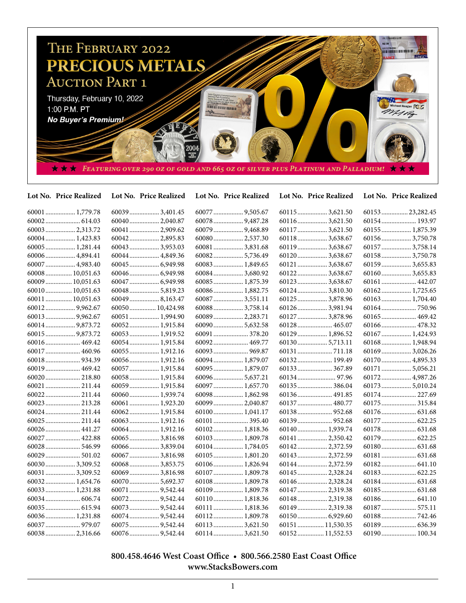

## 60001.................. 1,779.78 60002..................... 614.03 60003.................. 2,313.72 60004.................. 1,423.83 60005.................. 1,281.44 60006.................. 4,894.41 60007.................. 4,983.40 60008................ 10,051.63 60009................ 10,051.63 60010................ 10,051.63 60011................ 10,051.63 60012.................. 9,962.67 60013.................. 9,962.67 60014.................. 9,873.72 60015.................. 9,873.72 60016..................... 469.42 60017..................... 460.96 60018..................... 934.39 60019..................... 469.42 60020..................... 218.80 60021..................... 211.44 60022..................... 211.44 60023..................... 213.28 60024..................... 211.44 60025..................... 211.44 60026..................... 441.27 60027..................... 422.88 60028..................... 546.99 60029..................... 501.02 60030.................. 3,309.52 60031.................. 3,309.52 60032.................. 1,654.76 60033.................. 1,231.88 60034..................... 606.74 60035..................... 615.94 60036.................. 1,231.88 60037..................... 979.07 60038.................. 2,316.66 60039.................. 3,401.45 60040.................. 2,040.87 60041.................. 2,909.62 60042.................. 2,895.83 60043.................. 3,953.03 60044.................. 4,849.36 60045.................. 6,949.98 60046.................. 6,949.98 60047.................. 6,949.98 60048.................. 5,819.23 60049.................. 8,163.47 60050................ 10,424.98 60051.................. 1,994.90 60052.................. 1,915.84 60053.................. 1,919.52 60054.................. 1,915.84 60055.................. 1,912.16 60056.................. 1,912.16 60057.................. 1,915.84 60058.................. 1,915.84 60059.................. 1,915.84 60060.................. 1,939.74 60061.................. 1,923.20 60062.................. 1,915.84 60063.................. 1,912.16 60064.................. 1,912.16 60065.................. 3,816.98 60066.................. 3,839.04 60067.................. 3,816.98 60068.................. 3,853.75 60069.................. 3,816.98 60070.................. 5,692.37 60071.................. 9,542.44 60072.................. 9,542.44 60073.................. 9,542.44 60074.................. 9,542.44 60075.................. 9,542.44 60076.................. 9,542.44 60077.................. 9,505.67 60078.................. 9,487.28 60079.................. 9,468.89 60080.................. 2,537.30 60081.................. 3,831.68 60082.................. 5,736.49 60083.................. 1,849.65 60084.................. 3,680.92 60085.................. 1,875.39 60086.................. 1,882.75 60087.................. 3,551.11 60088.................. 3,758.14 60089.................. 2,283.71 60090.................. 5,632.58 60091..................... 378.20 60092..................... 469.77 60093..................... 969.87 60094.................. 1,879.07 60095.................. 1,879.07 60096.................. 5,637.21 60097.................. 1,657.70 60098.................. 1,862.98 60099.................. 2,040.87 60100.................. 1,041.17 60101..................... 395.40 60102.................. 1,818.36 60103.................. 1,809.78 60104.................. 1,784.05 60105.................. 1,801.20 60106.................. 1,826.94 60107.................. 1,809.78 60108.................. 1,809.78 60109.................. 1,809.78 60110.................. 1,818.36 60111.................. 1,818.36 60112.................. 1,809.78 60113.................. 3,621.50 60114.................. 3,621.50 60115.................. 3,621.50 60116.................. 3,621.50 60117.................. 3,621.50 60118.................. 3,638.67 60119.................. 3,638.67 60120.................. 3,638.67 60121.................. 3,638.67 60122.................. 3,638.67 60123.................. 3,638.67 60124.................. 3,810.30 60125.................. 3,878.96 60126.................. 3,981.94 60127.................. 3,878.96 60128..................... 465.07 60129.................. 1,896.52 60130.................. 5,713.11 60131..................... 711.18 60132..................... 199.49 60133..................... 367.89 60134....................... 97.96 60135..................... 386.04 60136..................... 491.85 60137..................... 480.77 60138..................... 952.68 60139..................... 952.68 60140.................. 1,939.74 60141.................. 2,350.42 60142.................. 2,372.59 60143.................. 2,372.59 60144.................. 2,372.59 60145.................. 2,328.24 60146.................. 2,328.24 60147.................. 2,319.38 60148.................. 2,319.38 60149.................. 2,319.38 60150.................. 6,929.60 60151................ 11,530.35 60152................ 11,552.53 60153................ 23,282.45 60154..................... 193.97 60155.................. 1,875.39 60156.................. 3,750.78 60157.................. 3,758.14 60158.................. 3,750.78 60159.................. 3,655.83 60160.................. 3,655.83 60161..................... 442.07 60162.................. 1,725.65 60163.................. 1,704.40 60164..................... 750.96 60165..................... 469.42 60166..................... 478.32 60167.................. 1,424.93 60168.................. 1,948.94 60169.................. 3,026.26 60170.................. 4,895.33 60171.................. 5,056.21 60172.................. 4,987.26 60173.................. 5,010.24 60174..................... 227.69 60175..................... 315.84 60176..................... 631.68 60177..................... 622.25 60178..................... 631.68 60179..................... 622.25 60180..................... 631.68 60181..................... 631.68 60182..................... 641.10 60183..................... 622.25 60184..................... 631.68 60185..................... 631.68 60186..................... 641.10 60187..................... 575.11 60188..................... 742.46 60189..................... 636.39 60190..................... 100.34 **Lot No. Price Realized Lot No. Price Realized Lot No. Price Realized Lot No. Price Realized Lot No. Price Realized**

## **800.458.4646 West Coast Office • 800.566.2580 East Coast Office www.StacksBowers.com**